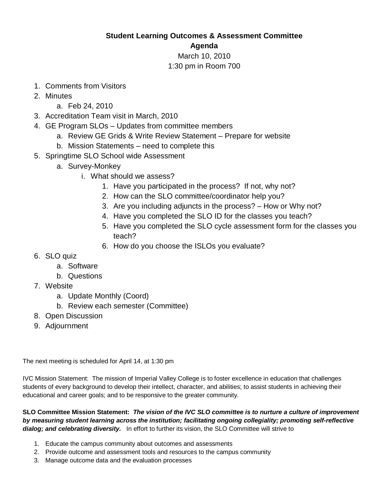## **Student Learning Outcomes & Assessment Committee**

## **Agenda**

## March 10, 2010 1:30 pm in Room 700

- 1. Comments from Visitors
- 2. Minutes
	- a. Feb 24, 2010
- 3. Accreditation Team visit in March, 2010
- 4. GE Program SLOs Updates from committee members
	- a. Review GE Grids & Write Review Statement Prepare for website
	- b. Mission Statements need to complete this
- 5. Springtime SLO School wide Assessment
	- a. Survey-Monkey
		- i. What should we assess?
			- 1. Have you participated in the process? If not, why not?
			- 2. How can the SLO committee/coordinator help you?
			- 3. Are you including adjuncts in the process? How or Why not?
			- 4. Have you completed the SLO ID for the classes you teach?
			- 5. Have you completed the SLO cycle assessment form for the classes you teach?
			- 6. How do you choose the ISLOs you evaluate?
- 6. SLO quiz
	- a. Software
	- b. Questions
- 7. Website
	- a. Update Monthly (Coord)
	- b. Review each semester (Committee)
- 8. Open Discussion
- 9. Adjournment

The next meeting is scheduled for April 14, at 1:30 pm

IVC Mission Statement: The mission of Imperial Valley College is to foster excellence in education that challenges students of every background to develop their intellect, character, and abilities; to assist students in achieving their educational and career goals; and to be responsive to the greater community.

**SLO Committee Mission Statement:** *The vision of the IVC SLO committee is to nurture a culture of improvement by measuring student learning across the institution; facilitating ongoing collegiality; promoting self-reflective dialog; and celebrating diversity.* In effort to further its vision, the SLO Committee will strive to

- 1. Educate the campus community about outcomes and assessments
- 2. Provide outcome and assessment tools and resources to the campus community
- 3. Manage outcome data and the evaluation processes